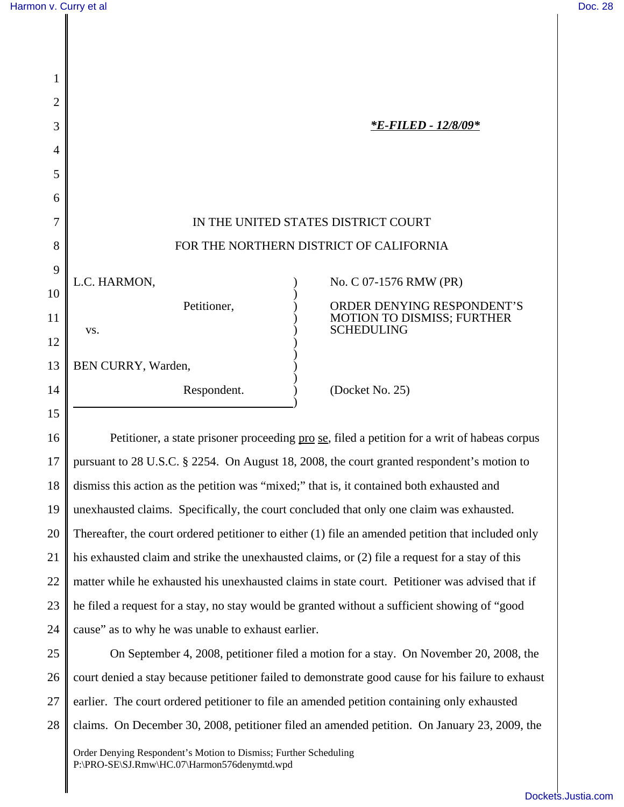| 1              |                                                        |
|----------------|--------------------------------------------------------|
| $\overline{2}$ |                                                        |
| 3              | <i><b>*E-FILED - 12/8/09*</b></i>                      |
| 4              |                                                        |
| 5              |                                                        |
| 6              |                                                        |
| 7              | IN THE UNITED STATES DISTRICT COURT                    |
| 8              | FOR THE NORTHERN DISTRICT OF CALIFORNIA                |
| 9              | L.C. HARMON,<br>No. C 07-1576 RMW (PR)                 |
| 10             | ORDER DENYING RESPONDENT'S<br>Petitioner,              |
| 11             | <b>MOTION TO DISMISS; FURTHER</b><br><b>SCHEDULING</b> |
| 12             | VS.                                                    |
| 13             | BEN CURRY, Warden,                                     |
| 14             | (Docket No. 25)<br>Respondent.                         |
| 15             |                                                        |

16 17 18 19 20 21 22 23 24 Petitioner, a state prisoner proceeding <u>pro se</u>, filed a petition for a writ of habeas corpus pursuant to 28 U.S.C. § 2254. On August 18, 2008, the court granted respondent's motion to dismiss this action as the petition was "mixed;" that is, it contained both exhausted and unexhausted claims. Specifically, the court concluded that only one claim was exhausted. Thereafter, the court ordered petitioner to either (1) file an amended petition that included only his exhausted claim and strike the unexhausted claims, or (2) file a request for a stay of this matter while he exhausted his unexhausted claims in state court. Petitioner was advised that if he filed a request for a stay, no stay would be granted without a sufficient showing of "good cause" as to why he was unable to exhaust earlier.

25 26 27 28 On September 4, 2008, petitioner filed a motion for a stay. On November 20, 2008, the court denied a stay because petitioner failed to demonstrate good cause for his failure to exhaust earlier. The court ordered petitioner to file an amended petition containing only exhausted claims. On December 30, 2008, petitioner filed an amended petition. On January 23, 2009, the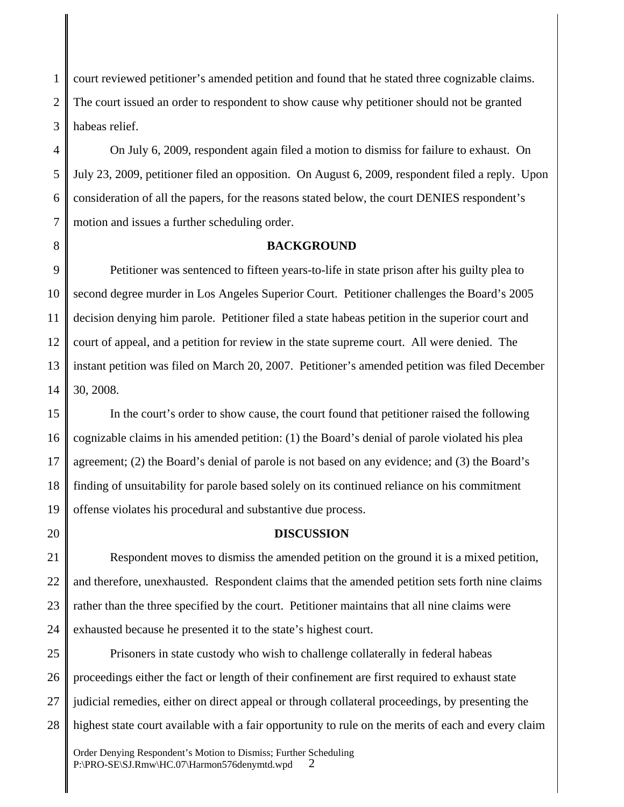1 2 3 court reviewed petitioner's amended petition and found that he stated three cognizable claims. The court issued an order to respondent to show cause why petitioner should not be granted habeas relief.

4 5 6 7 On July 6, 2009, respondent again filed a motion to dismiss for failure to exhaust. On July 23, 2009, petitioner filed an opposition. On August 6, 2009, respondent filed a reply. Upon consideration of all the papers, for the reasons stated below, the court DENIES respondent's motion and issues a further scheduling order.

8

## **BACKGROUND**

9 10 11 12 13 14 Petitioner was sentenced to fifteen years-to-life in state prison after his guilty plea to second degree murder in Los Angeles Superior Court. Petitioner challenges the Board's 2005 decision denying him parole. Petitioner filed a state habeas petition in the superior court and court of appeal, and a petition for review in the state supreme court. All were denied. The instant petition was filed on March 20, 2007. Petitioner's amended petition was filed December 30, 2008.

15 16 17 18 19 In the court's order to show cause, the court found that petitioner raised the following cognizable claims in his amended petition: (1) the Board's denial of parole violated his plea agreement; (2) the Board's denial of parole is not based on any evidence; and (3) the Board's finding of unsuitability for parole based solely on its continued reliance on his commitment offense violates his procedural and substantive due process.

20

## **DISCUSSION**

21 22 23 24 Respondent moves to dismiss the amended petition on the ground it is a mixed petition, and therefore, unexhausted. Respondent claims that the amended petition sets forth nine claims rather than the three specified by the court. Petitioner maintains that all nine claims were exhausted because he presented it to the state's highest court.

25 26 27 28 Prisoners in state custody who wish to challenge collaterally in federal habeas proceedings either the fact or length of their confinement are first required to exhaust state judicial remedies, either on direct appeal or through collateral proceedings, by presenting the highest state court available with a fair opportunity to rule on the merits of each and every claim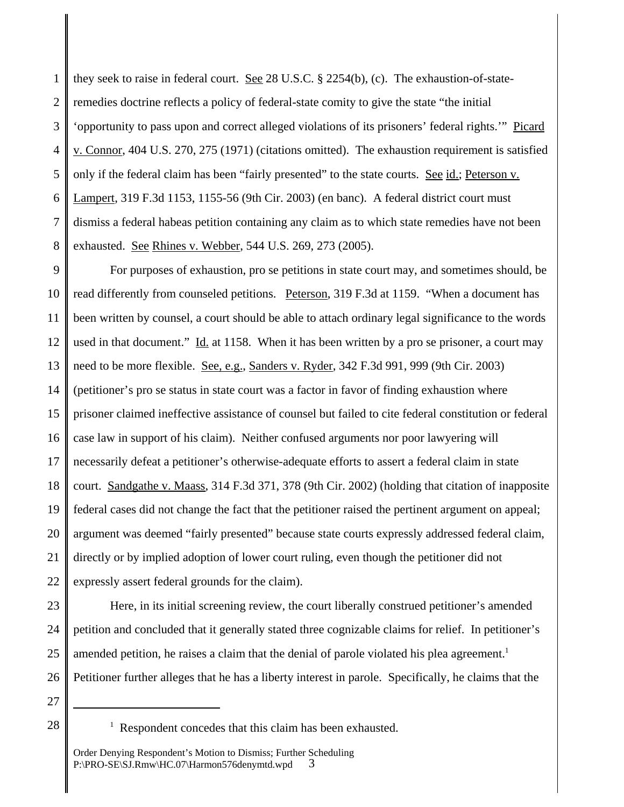1 2 3 4 5 6 7 8 they seek to raise in federal court. See 28 U.S.C. § 2254(b), (c). The exhaustion-of-stateremedies doctrine reflects a policy of federal-state comity to give the state "the initial 'opportunity to pass upon and correct alleged violations of its prisoners' federal rights.'" Picard v. Connor, 404 U.S. 270, 275 (1971) (citations omitted). The exhaustion requirement is satisfied only if the federal claim has been "fairly presented" to the state courts. See id.; Peterson v. Lampert, 319 F.3d 1153, 1155-56 (9th Cir. 2003) (en banc). A federal district court must dismiss a federal habeas petition containing any claim as to which state remedies have not been exhausted. See Rhines v. Webber, 544 U.S. 269, 273 (2005).

9 10 11 12 13 14 15 16 17 18 19 20 21 22 For purposes of exhaustion, pro se petitions in state court may, and sometimes should, be read differently from counseled petitions. Peterson, 319 F.3d at 1159. "When a document has been written by counsel, a court should be able to attach ordinary legal significance to the words used in that document." Id. at 1158. When it has been written by a pro se prisoner, a court may need to be more flexible. See, e.g., Sanders v. Ryder, 342 F.3d 991, 999 (9th Cir. 2003) (petitioner's pro se status in state court was a factor in favor of finding exhaustion where prisoner claimed ineffective assistance of counsel but failed to cite federal constitution or federal case law in support of his claim). Neither confused arguments nor poor lawyering will necessarily defeat a petitioner's otherwise-adequate efforts to assert a federal claim in state court. Sandgathe v. Maass, 314 F.3d 371, 378 (9th Cir. 2002) (holding that citation of inapposite federal cases did not change the fact that the petitioner raised the pertinent argument on appeal; argument was deemed "fairly presented" because state courts expressly addressed federal claim, directly or by implied adoption of lower court ruling, even though the petitioner did not expressly assert federal grounds for the claim).

Here, in its initial screening review, the court liberally construed petitioner's amended

petition and concluded that it generally stated three cognizable claims for relief. In petitioner's

Petitioner further alleges that he has a liberty interest in parole. Specifically, he claims that the

amended petition, he raises a claim that the denial of parole violated his plea agreement.<sup>1</sup>

<sup>28</sup> <sup>1</sup>

<sup>&</sup>lt;sup>1</sup> Respondent concedes that this claim has been exhausted.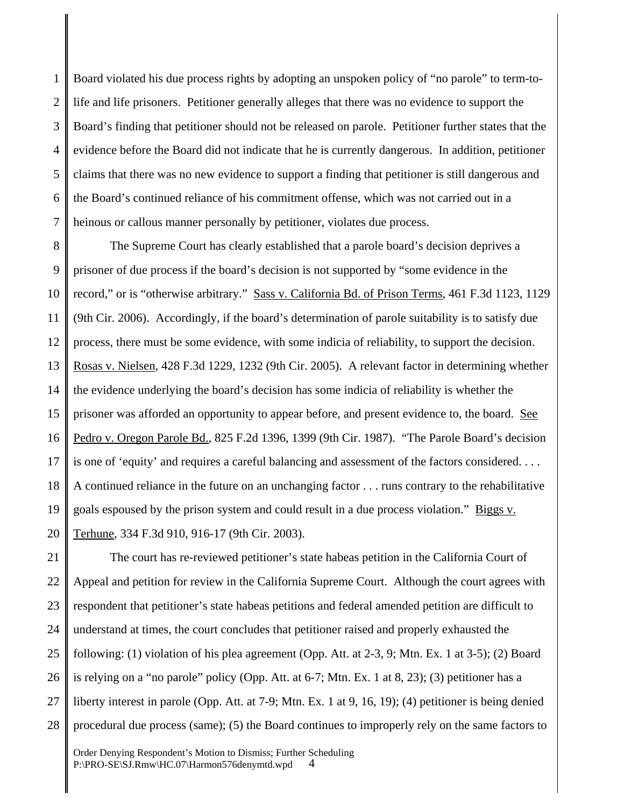1 2 3 4 5 6 7 Board violated his due process rights by adopting an unspoken policy of "no parole" to term-tolife and life prisoners. Petitioner generally alleges that there was no evidence to support the Board's finding that petitioner should not be released on parole. Petitioner further states that the evidence before the Board did not indicate that he is currently dangerous. In addition, petitioner claims that there was no new evidence to support a finding that petitioner is still dangerous and the Board's continued reliance of his commitment offense, which was not carried out in a heinous or callous manner personally by petitioner, violates due process.

8 9 10 11 12 13 14 15 16 17 18 19 20 The Supreme Court has clearly established that a parole board's decision deprives a prisoner of due process if the board's decision is not supported by "some evidence in the record," or is "otherwise arbitrary." Sass v. California Bd. of Prison Terms, 461 F.3d 1123, 1129 (9th Cir. 2006). Accordingly, if the board's determination of parole suitability is to satisfy due process, there must be some evidence, with some indicia of reliability, to support the decision. Rosas v. Nielsen, 428 F.3d 1229, 1232 (9th Cir. 2005). A relevant factor in determining whether the evidence underlying the board's decision has some indicia of reliability is whether the prisoner was afforded an opportunity to appear before, and present evidence to, the board. See Pedro v. Oregon Parole Bd., 825 F.2d 1396, 1399 (9th Cir. 1987). "The Parole Board's decision is one of 'equity' and requires a careful balancing and assessment of the factors considered. . . . A continued reliance in the future on an unchanging factor . . . runs contrary to the rehabilitative goals espoused by the prison system and could result in a due process violation." Biggs v. Terhune, 334 F.3d 910, 916-17 (9th Cir. 2003).

21 22 23 24 25 26 27 28 The court has re-reviewed petitioner's state habeas petition in the California Court of Appeal and petition for review in the California Supreme Court. Although the court agrees with respondent that petitioner's state habeas petitions and federal amended petition are difficult to understand at times, the court concludes that petitioner raised and properly exhausted the following: (1) violation of his plea agreement (Opp. Att. at 2-3, 9; Mtn. Ex. 1 at 3-5); (2) Board is relying on a "no parole" policy (Opp. Att. at 6-7; Mtn. Ex. 1 at 8, 23); (3) petitioner has a liberty interest in parole (Opp. Att. at 7-9; Mtn. Ex. 1 at 9, 16, 19); (4) petitioner is being denied procedural due process (same); (5) the Board continues to improperly rely on the same factors to